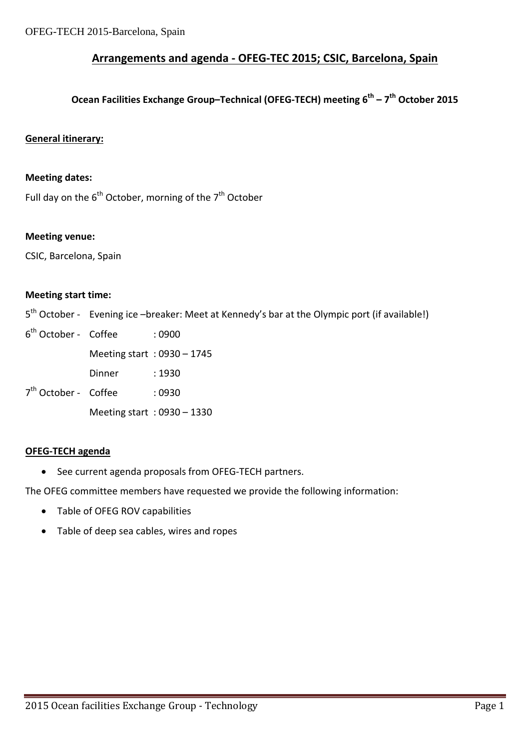#### **Arrangements and agenda ‐ OFEG‐TEC 2015; CSIC, Barcelona, Spain**

### **Ocean Facilities Exchange Group–Technical (OFEG‐TECH) meeting 6th – 7th October 2015**

#### **General itinerary:**

#### **Meeting dates:**

Full day on the  $6<sup>th</sup>$  October, morning of the  $7<sup>th</sup>$  October

#### **Meeting venue:**

CSIC, Barcelona, Spain

#### **Meeting start time:**

5<sup>th</sup> October - Evening ice –breaker: Meet at Kennedy's bar at the Olympic port (if available!)

| 6 <sup>th</sup> October - Coffee |                              | : 0900                       |
|----------------------------------|------------------------------|------------------------------|
|                                  |                              | Meeting start: $0930 - 1745$ |
|                                  | Dinner                       | :1930                        |
| 7 <sup>th</sup> October - Coffee |                              | :0930                        |
|                                  | Meeting start: $0930 - 1330$ |                              |
|                                  |                              |                              |

#### **OFEG‐TECH agenda**

● See current agenda proposals from OFEG-TECH partners.

The OFEG committee members have requested we provide the following information:

- Table of OFEG ROV capabilities
- Table of deep sea cables, wires and ropes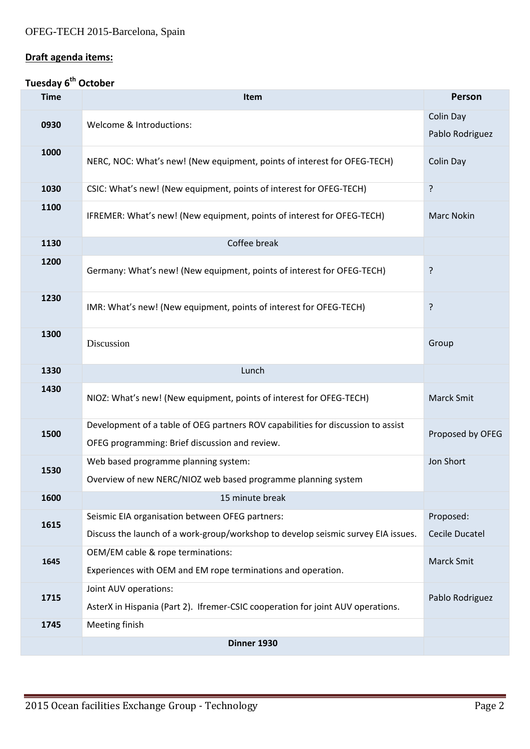## **Draft agenda items:**

## **Tuesday 6th October**

| <b>Time</b> | <b>Item</b>                                                                                                                        | Person                       |
|-------------|------------------------------------------------------------------------------------------------------------------------------------|------------------------------|
| 0930        | Welcome & Introductions:                                                                                                           | Colin Day<br>Pablo Rodriguez |
| 1000        | NERC, NOC: What's new! (New equipment, points of interest for OFEG-TECH)                                                           | Colin Day                    |
| 1030        | CSIC: What's new! (New equipment, points of interest for OFEG-TECH)                                                                | ?                            |
| 1100        | IFREMER: What's new! (New equipment, points of interest for OFEG-TECH)                                                             | <b>Marc Nokin</b>            |
| 1130        | Coffee break                                                                                                                       |                              |
| 1200        | Germany: What's new! (New equipment, points of interest for OFEG-TECH)                                                             | ?                            |
| 1230        | IMR: What's new! (New equipment, points of interest for OFEG-TECH)                                                                 | ?                            |
| 1300        | Discussion                                                                                                                         | Group                        |
| 1330        | Lunch                                                                                                                              |                              |
| 1430        | NIOZ: What's new! (New equipment, points of interest for OFEG-TECH)                                                                | <b>Marck Smit</b>            |
| 1500        | Development of a table of OEG partners ROV capabilities for discussion to assist<br>OFEG programming: Brief discussion and review. | Proposed by OFEG             |
| 1530        | Web based programme planning system:<br>Overview of new NERC/NIOZ web based programme planning system                              | Jon Short                    |
| 1600        | 15 minute break                                                                                                                    |                              |
| 1615        | Seismic EIA organisation between OFEG partners:                                                                                    | Proposed:                    |
|             | Discuss the launch of a work-group/workshop to develop seismic survey EIA issues.<br>OEM/EM cable & rope terminations:             | <b>Cecile Ducatel</b>        |
| 1645        | Experiences with OEM and EM rope terminations and operation.                                                                       | <b>Marck Smit</b>            |
| 1715        | Joint AUV operations:<br>AsterX in Hispania (Part 2). Ifremer-CSIC cooperation for joint AUV operations.                           | Pablo Rodriguez              |
| 1745        | Meeting finish                                                                                                                     |                              |
|             | Dinner 1930                                                                                                                        |                              |